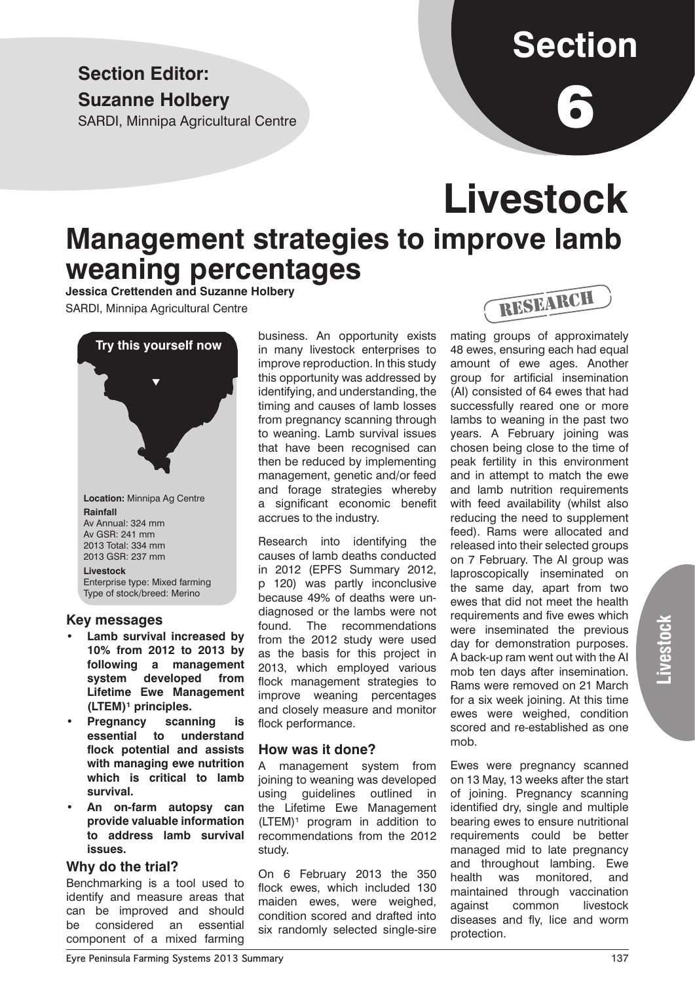### **Section Editor: Suzanne Holbery**

SARDI, Minnipa Agricultural Centre

# **Section**

6

## **Livestock Management strategies to improve lamb weaning percentages**

**Jessica Crettenden and Suzanne Holbery** SARDI, Minnipa Agricultural Centre



**Location:** Minnipa Ag Centre **Rainfall** Av Annual: 324 mm Av GSR: 241 mm 2013 Total: 334 mm 2013 GSR: 237 mm **Livestock** Enterprise type: Mixed farming

Type of stock/breed: Merino

#### **Key messages**

- **Lamb survival increased by 10% from 2012 to 2013 by following a management system developed from Lifetime Ewe Management (LTEM)¹ principles.**
- **Pregnancy scanning is essential to understand flock potential and assists with managing ewe nutrition which is critical to lamb survival.**
- **• An on-farm autopsy can provide valuable information to address lamb survival issues.**

#### **Why do the trial?**

Benchmarking is a tool used to identify and measure areas that can be improved and should be considered an essential component of a mixed farming

business. An opportunity exists in many livestock enterprises to improve reproduction. In this study this opportunity was addressed by identifying, and understanding, the timing and causes of lamb losses from pregnancy scanning through to weaning. Lamb survival issues that have been recognised can then be reduced by implementing management, genetic and/or feed and forage strategies whereby a significant economic benefit accrues to the industry.

Research into identifying the causes of lamb deaths conducted in 2012 (EPFS Summary 2012, p 120) was partly inconclusive because 49% of deaths were undiagnosed or the lambs were not found. The recommendations from the 2012 study were used as the basis for this project in 2013, which employed various flock management strategies to improve weaning percentages and closely measure and monitor flock performance.

#### **How was it done?**

A management system from joining to weaning was developed using guidelines outlined in the Lifetime Ewe Management  $(LTEM)^1$  program in addition to recommendations from the 2012 study.

On 6 February 2013 the 350 flock ewes, which included 130 maiden ewes, were weighed, condition scored and drafted into six randomly selected single-sire



mating groups of approximately 48 ewes, ensuring each had equal amount of ewe ages. Another group for artificial insemination (AI) consisted of 64 ewes that had successfully reared one or more lambs to weaning in the past two years. A February joining was chosen being close to the time of peak fertility in this environment and in attempt to match the ewe and lamb nutrition requirements with feed availability (whilst also reducing the need to supplement feed). Rams were allocated and released into their selected groups on 7 February. The AI group was laproscopically inseminated on the same day, apart from two ewes that did not meet the health requirements and five ewes which were inseminated the previous day for demonstration purposes. A back-up ram went out with the AI mob ten days after insemination. Rams were removed on 21 March for a six week joining. At this time ewes were weighed, condition scored and re-established as one mob.

Ewes were pregnancy scanned on 13 May, 13 weeks after the start of joining. Pregnancy scanning identified dry, single and multiple bearing ewes to ensure nutritional requirements could be better managed mid to late pregnancy and throughout lambing. Ewe health was monitored, and maintained through vaccination against common livestock diseases and fly, lice and worm protection.

**Livestock**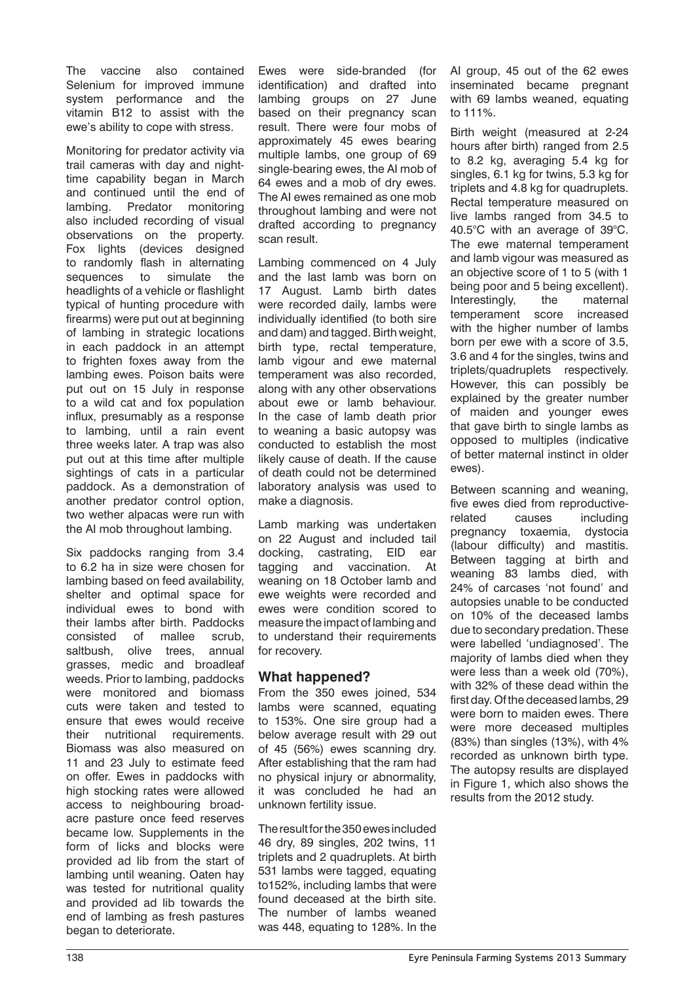The vaccine also contained Selenium for improved immune system performance and the vitamin B12 to assist with the ewe's ability to cope with stress.

Monitoring for predator activity via trail cameras with day and nighttime capability began in March and continued until the end of lambing. Predator monitoring also included recording of visual observations on the property. Fox lights (devices designed to randomly flash in alternating sequences to simulate the headlights of a vehicle or flashlight typical of hunting procedure with firearms) were put out at beginning of lambing in strategic locations in each paddock in an attempt to frighten foxes away from the lambing ewes. Poison baits were put out on 15 July in response to a wild cat and fox population influx, presumably as a response to lambing, until a rain event three weeks later. A trap was also put out at this time after multiple sightings of cats in a particular paddock. As a demonstration of another predator control option, two wether alpacas were run with the AI mob throughout lambing.

Six paddocks ranging from 3.4 to 6.2 ha in size were chosen for lambing based on feed availability, shelter and optimal space for individual ewes to bond with their lambs after birth. Paddocks consisted of mallee scrub, saltbush, olive trees, annual grasses, medic and broadleaf weeds. Prior to lambing, paddocks were monitored and biomass cuts were taken and tested to ensure that ewes would receive their nutritional requirements. Biomass was also measured on 11 and 23 July to estimate feed on offer. Ewes in paddocks with high stocking rates were allowed access to neighbouring broadacre pasture once feed reserves became low. Supplements in the form of licks and blocks were provided ad lib from the start of lambing until weaning. Oaten hay was tested for nutritional quality and provided ad lib towards the end of lambing as fresh pastures began to deteriorate.

Ewes were side-branded (for identification) and drafted into lambing groups on 27 June based on their pregnancy scan result. There were four mobs of approximately 45 ewes bearing multiple lambs, one group of 69 single-bearing ewes, the AI mob of 64 ewes and a mob of dry ewes. The AI ewes remained as one mob throughout lambing and were not drafted according to pregnancy scan result.

Lambing commenced on 4 July and the last lamb was born on 17 August. Lamb birth dates were recorded daily, lambs were individually identified (to both sire and dam) and tagged. Birth weight, birth type, rectal temperature, lamb vigour and ewe maternal temperament was also recorded, along with any other observations about ewe or lamb behaviour. In the case of lamb death prior to weaning a basic autopsy was conducted to establish the most likely cause of death. If the cause of death could not be determined laboratory analysis was used to make a diagnosis.

Lamb marking was undertaken on 22 August and included tail docking, castrating, EID ear tagging and vaccination. At weaning on 18 October lamb and ewe weights were recorded and ewes were condition scored to measure the impact of lambing and to understand their requirements for recovery.

#### **What happened?**

From the 350 ewes joined, 534 lambs were scanned, equating to 153%. One sire group had a below average result with 29 out of 45 (56%) ewes scanning dry. After establishing that the ram had no physical injury or abnormality, it was concluded he had an unknown fertility issue.

The result for the 350 ewes included 46 dry, 89 singles, 202 twins, 11 triplets and 2 quadruplets. At birth 531 lambs were tagged, equating to152%, including lambs that were found deceased at the birth site. The number of lambs weaned was 448, equating to 128%. In the

AI group, 45 out of the 62 ewes inseminated became pregnant with 69 lambs weaned, equating to 111%.

Birth weight (measured at 2-24 hours after birth) ranged from 2.5 to 8.2 kg, averaging 5.4 kg for singles, 6.1 kg for twins, 5.3 kg for triplets and 4.8 kg for quadruplets. Rectal temperature measured on live lambs ranged from 34.5 to 40.5°C with an average of 39°C. The ewe maternal temperament and lamb vigour was measured as an objective score of 1 to 5 (with 1 being poor and 5 being excellent). Interestingly, the maternal temperament score increased with the higher number of lambs born per ewe with a score of 3.5, 3.6 and 4 for the singles, twins and triplets/quadruplets respectively. However, this can possibly be explained by the greater number of maiden and younger ewes that gave birth to single lambs as opposed to multiples (indicative of better maternal instinct in older ewes).

Between scanning and weaning, five ewes died from reproductiverelated causes including pregnancy toxaemia, dystocia (labour difficulty) and mastitis. Between tagging at birth and weaning 83 lambs died, with 24% of carcases 'not found' and autopsies unable to be conducted on 10% of the deceased lambs due to secondary predation. These were labelled 'undiagnosed'. The majority of lambs died when they were less than a week old (70%), with 32% of these dead within the first day. Of the deceased lambs, 29 were born to maiden ewes. There were more deceased multiples (83%) than singles (13%), with 4% recorded as unknown birth type. The autopsy results are displayed in Figure 1, which also shows the results from the 2012 study.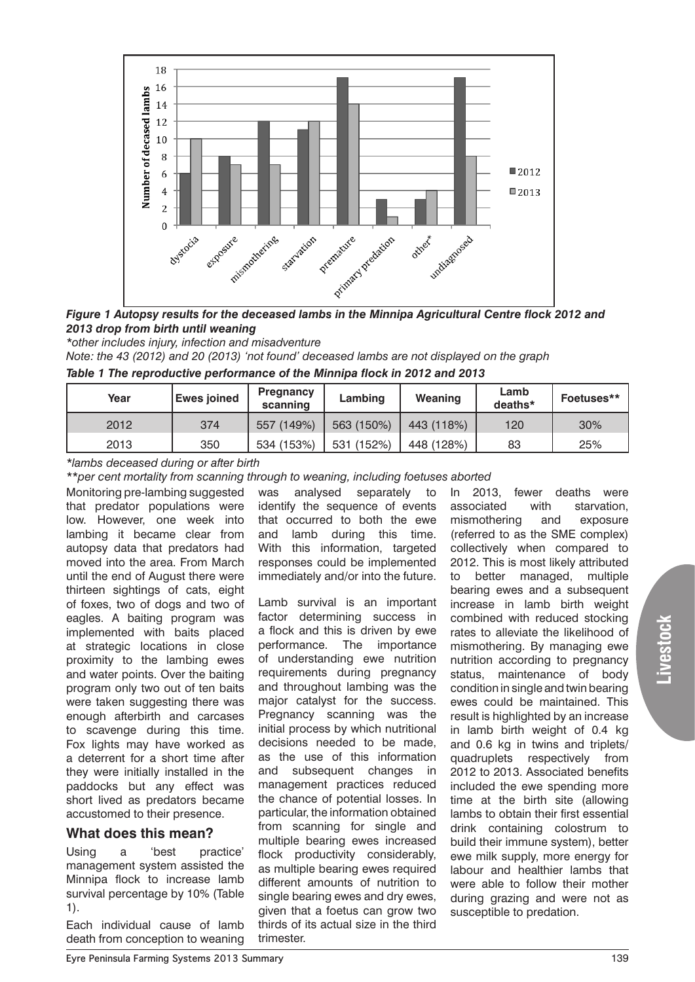

*Figure 1 Autopsy results for the deceased lambs in the Minnipa Agricultural Centre flock 2012 and 2013 drop from birth until weaning*

*\*other includes injury, infection and misadventure*

*Note: the 43 (2012) and 20 (2013) 'not found' deceased lambs are not displayed on the graph*

|  |  |  |  |  |  | Table 1 The reproductive performance of the Minnipa flock in 2012 and 2013 |
|--|--|--|--|--|--|----------------------------------------------------------------------------|
|--|--|--|--|--|--|----------------------------------------------------------------------------|

| Year | <b>Ewes joined</b> | Pregnancy<br>scanning | Lambing    | Weaning    | Lamb<br>deaths* | Foetuses** |
|------|--------------------|-----------------------|------------|------------|-----------------|------------|
| 2012 | 374                | 557 (149%)            | 563 (150%) | 443 (118%) | 120             | 30%        |
| 2013 | 350                | 534 (153%)            | 531 (152%) | 448 (128%) | 83              | 25%        |

*\*lambs deceased during or after birth*

*\*\*per cent mortality from scanning through to weaning, including foetuses aborted*

Monitoring pre-lambing suggested that predator populations were low. However, one week into lambing it became clear from autopsy data that predators had moved into the area. From March until the end of August there were thirteen sightings of cats, eight of foxes, two of dogs and two of eagles. A baiting program was implemented with baits placed at strategic locations in close proximity to the lambing ewes and water points. Over the baiting program only two out of ten baits were taken suggesting there was enough afterbirth and carcases to scavenge during this time. Fox lights may have worked as a deterrent for a short time after they were initially installed in the paddocks but any effect was short lived as predators became accustomed to their presence.

#### **What does this mean?**

Using a 'best practice' management system assisted the Minnipa flock to increase lamb survival percentage by 10% (Table 1).

Each individual cause of lamb death from conception to weaning was analysed separately to identify the sequence of events that occurred to both the ewe and lamb during this time. With this information, targeted responses could be implemented immediately and/or into the future.

Lamb survival is an important factor determining success in a flock and this is driven by ewe performance. The importance of understanding ewe nutrition requirements during pregnancy and throughout lambing was the major catalyst for the success. Pregnancy scanning was the initial process by which nutritional decisions needed to be made, as the use of this information and subsequent changes in management practices reduced the chance of potential losses. In particular, the information obtained from scanning for single and multiple bearing ewes increased flock productivity considerably, as multiple bearing ewes required different amounts of nutrition to single bearing ewes and dry ewes, given that a foetus can grow two thirds of its actual size in the third trimester.

In 2013, fewer deaths were associated with starvation, mismothering and exposure (referred to as the SME complex) collectively when compared to 2012. This is most likely attributed to better managed, multiple bearing ewes and a subsequent increase in lamb birth weight combined with reduced stocking rates to alleviate the likelihood of mismothering. By managing ewe nutrition according to pregnancy status, maintenance of body condition in single and twin bearing ewes could be maintained. This result is highlighted by an increase in lamb birth weight of 0.4 kg and 0.6 kg in twins and triplets/ quadruplets respectively from 2012 to 2013. Associated benefits included the ewe spending more time at the birth site (allowing lambs to obtain their first essential drink containing colostrum to build their immune system), better ewe milk supply, more energy for labour and healthier lambs that were able to follow their mother during grazing and were not as susceptible to predation.